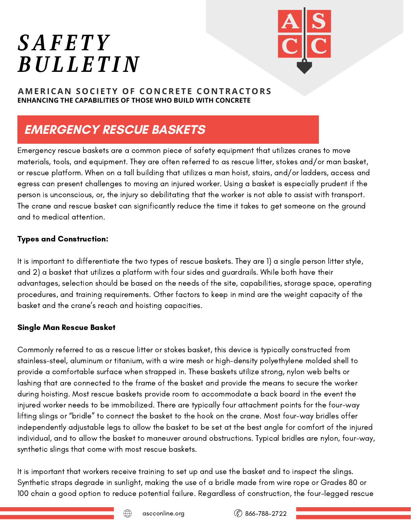# *SAF E T Y BUL L E T IN*



### **AMERICA N SOCI E TY OF CO N CRE T E CO N TRACTORS ENHANCING THE CAPABILITIES OF THOSE WHO BUILD WITH CONCRETE**

# **EMERGENCY RESCUE BASKETS**

Emergency rescue baskets are a common piece of safety equipment that utilizes cranes to move materials, tools, and equipment. They are often referred to as rescue litter, stokes and/or man basket, or rescue platform. When on a tall building that utilizes a man hoist, stairs, and/or ladders, access and egress can present challenges to moving an injured worker. Using a basket is especially prudent if the person is unconscious, or, the injury so debilitating that the worker is not able to assist with transport. The crane and rescue basket can significantly reduce the time it takes to get someone on the ground and to medical attention.

# Types and Construction:

It is important to differentiate the two types of rescue baskets. They are 1) a single person litter style, and 2) a basket that utilizes a platform with four sides and guardrails. While both have their advantages, selection should be based on the needs of the site, capabilities, storage space, operating procedures, and training requirements. Other factors to keep in mind are the weight capacity of the basket and the crane's reach and hoisting capacities.

# Single Man Rescue Basket

Commonly referred to as a rescue litter or stokes basket, this device is typically constructed from stainless-steel, aluminum or titanium, with a wire mesh or high-density polyethylene molded shell to provide a comfortable surface when strapped in. These baskets utilize strong, nylon web belts or lashing that are connected to the frame of the basket and provide the means to secure the worker during hoisting. Most rescue baskets provide room to accommodate a back board in the event the injured worker needs to be immobilized. There are typically four attachment points for the four-way lifting slings or "bridle" to connect the basket to the hook on the crane. Most four-way bridles offer independently adjustable legs to allow the basket to be set at the best angle for comfort of the injured individual, and to allow the basket to maneuver around obstructions. Typical bridles are nylon, four-way, synthetic slings that come with most rescue baskets.

It is important that workers receive training to set up and use the basket and to inspect the slings. Synthetic straps degrade in sunlight, making the use of a bridle made from wire rope or Grades 80 or 100 chain a good option to reduce potential failure. Regardless of construction, the four-legged rescue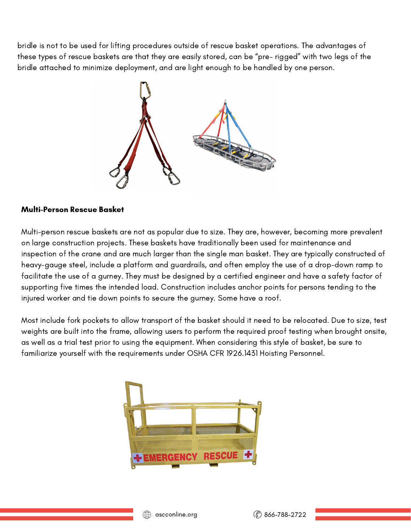bridle is not to be used for lifting procedures outside of rescue basket operations. The advantages of these types of rescue baskets are that they are easily stored, can be "pre- rigged" with two legs of the bridle attached to minimize deployment, and are light enough to be handled by one person.



### Multi-Person Rescue Basket

Multi-person rescue baskets are not as popular due to size. They are, however, becoming more prevalent on large construction projects. These baskets have traditionally been used for maintenance and inspection of the crane and are much larger than the single man basket. They are typically constructed of heavy-gauge steel, include a platform and guardrails, and often employ the use of a drop-down ramp to facilitate the use of a gurney. They must be designed by a certified engineer and have a safety factor of supporting five times the intended load. Construction includes anchor points for persons tending to the injured worker and tie down points to secure the gurney. Some have a roof.

Most include fork pockets to allow transport of the basket should it need to be relocated. Due to size, test weights are built into the frame, allowing users to perform the required proof testing when brought onsite, as well as a trial test prior to using the equipment. When considering this style of basket, be sure to familiarize yourself with the requirements under OSHA CFR 1926.1431 Hoisting Personnel.

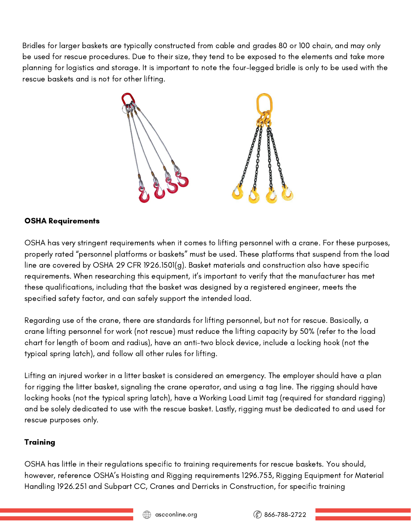Bridles for larger baskets are typically constructed from cable and grades 80 or 100 chain, and may only be used for rescue procedures. Due to their size, they tend to be exposed to the elements and take more planning for logistics and storage. It is important to note the four-legged bridle is only to be used with the rescue baskets and is not for other lifting.



# OSHA Requirements

OSHA has very stringent requirements when it comes to lifting personnel with a crane. For these purposes, properly rated "personnel platforms or baskets" must be used. These platforms that suspend from the load line are covered by OSHA 29 CFR 1926.1501(g). Basket materials and construction also have specific requirements. When researching this equipment, it's important to verify that the manufacturer has met these qualifications, including that the basket was designed by a registered engineer, meets the specified safety factor, and can safely support the intended load.

Regarding use of the crane, there are standards for lifting personnel, but not for rescue. Basically, a crane lifting personnel for work (not rescue) must reduce the lifting capacity by 50% (refer to the load chart for length of boom and radius), have an anti-two block device, include a locking hook (not the typical spring latch), and follow all other rules for lifting.

Lifting an injured worker in a litter basket is considered an emergency. The employer should have a plan for rigging the litter basket, signaling the crane operator, and using a tag line. The rigging should have locking hooks (not the typical spring latch), have a Working Load Limit tag (required for standard rigging) and be solely dedicated to use with the rescue basket. Lastly, rigging must be dedicated to and used for rescue purposes only.

#### **Training**

OSHA has little in their regulations specific to training requirements for rescue baskets. You should, however, reference OSHA's Hoisting and Rigging requirements 1296.753, Rigging Equipment for Material Handling 1926.251 and Subpart CC, Cranes and Derricks in Construction, for specific training